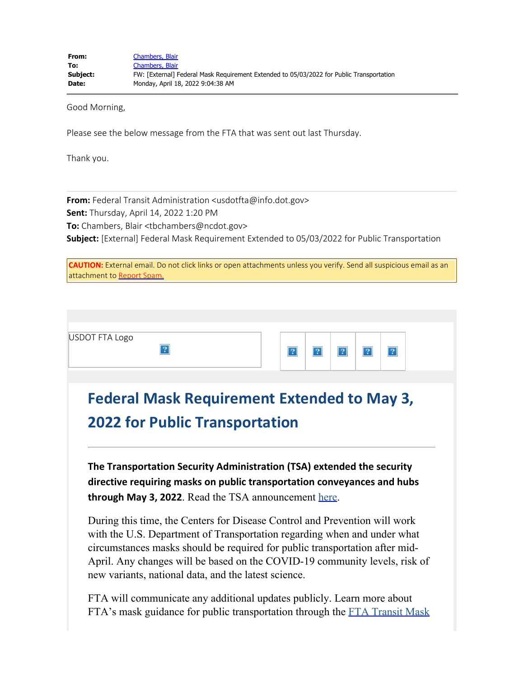Good Morning,

Please see the below message from the FTA that was sent out last Thursday.

Thank you.

**From:** Federal Transit Administration <usdotfta@info.dot.gov> **Sent:** Thursday, April 14, 2022 1:20 PM **To:** Chambers, Blair <tbchambers@ncdot.gov> **Subject:** [External] Federal Mask Requirement Extended to 05/03/2022 for Public Transportation

| <b>CAUTION:</b> External email. Do not click links or open attachments unless you verify. Send all suspicious email as an |
|---------------------------------------------------------------------------------------------------------------------------|
| attachment to Report Spam.                                                                                                |

During this time, the Centers for Disease Control and Prevention will work with the U.S. Department of Transportation regarding when and under what circumstances masks should be required for public transportation after mid-April. Any changes will be based on the COVID-19 community levels, risk of new variants, national data, and the latest science.

FTA will communicate any additional updates publicly. Learn more about FTA's mask guidance for public transportation through the [FTA Transit Mask](https://urldefense.com/v3/__https:/lnks.gd/l/eyJhbGciOiJIUzI1NiJ9.eyJidWxsZXRpbl9saW5rX2lkIjoxMDYsInVyaSI6ImJwMjpjbGljayIsImJ1bGxldGluX2lkIjoiMjAyMjA0MTQuNTY0MzQxOTEiLCJ1cmwiOiJodHRwczovL3d3dy50cmFuc2l0LmRvdC5nb3YvVHJhbnNpdE1hc2tVcCJ9.c9rb53p53TY2GfNKdp3L8ChGfaBWIYvJL5Ct48k5PuA/s/717426486/br/129829641011-l__;!!HYmSToo!dYQomuW9YwHcrlHrN03q-FcujLDJzdnatgcH8BVwRDAab9m6EH0RIC_D8hkn_OcxhDpoYZxIp6HUfKxiry_v6rUpfw$)